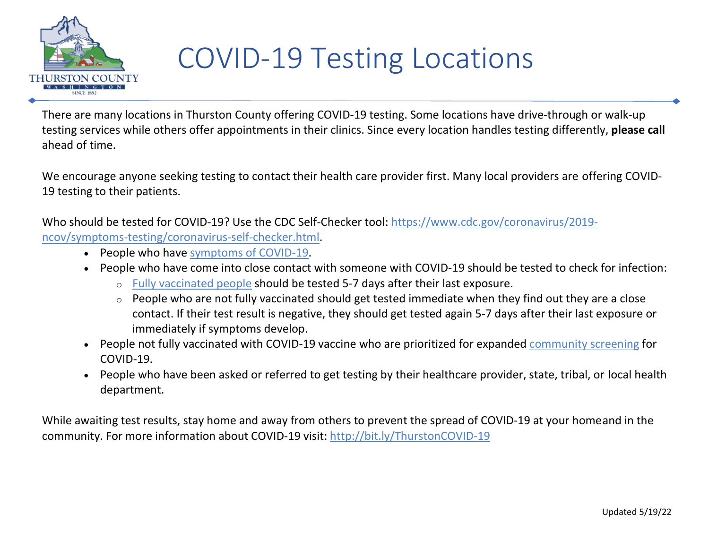

## COVID-19 Testing Locations

There are many locations in Thurston County offering COVID-19 testing. Some locations have drive-through or walk-up testing services while others offer appointments in their clinics. Since every location handles testing differently, **please call** ahead of time.

We encourage anyone seeking testing to contact their health care provider first. Many local providers are offering COVID-19 testing to their patients.

Who should be tested for COVID-19? Use the CDC Self-Checker tool: [https://www.cdc.gov/coronavirus/2019](https://www.cdc.gov/coronavirus/2019-ncov/symptoms-testing/coronavirus-self-checker.html) [ncov/symptoms-testing/coronavirus-self-checker.html.](https://www.cdc.gov/coronavirus/2019-ncov/symptoms-testing/coronavirus-self-checker.html)

- People who have [symptoms](https://www.cdc.gov/coronavirus/2019-ncov/symptoms-testing/symptoms.html) of COVID-19.
- People who have come into close contact with someone with COVID-19 should be tested to check for infection:
	- o [Fully vaccinated people](https://www.cdc.gov/coronavirus/2019-ncov/vaccines/fully-vaccinated.html) should be tested 5-7 days after their last exposure.
	- $\circ$  People who are not fully vaccinated should get tested immediate when they find out they are a close contact. If their test result is negative, they should get tested again 5-7 days after their last exposure or immediately if symptoms develop.
- People not fully vaccinated with COVID-19 vaccine who are prioritized for expanded [community screening](https://www.cdc.gov/coronavirus/2019-ncov/hcp/testing-overview.html) for COVID-19.
- People who have been asked or referred to get testing by their healthcare provider, state, tribal, or local health department.

While awaiting test results, stay home and away from others to prevent the spread of COVID-19 at your homeand in the community. For more information about COVID-19 visit: [http://bit.ly/ThurstonCOVID-19](https://www.thurstoncountywa.gov/phss/Pages/coronavirus.aspx)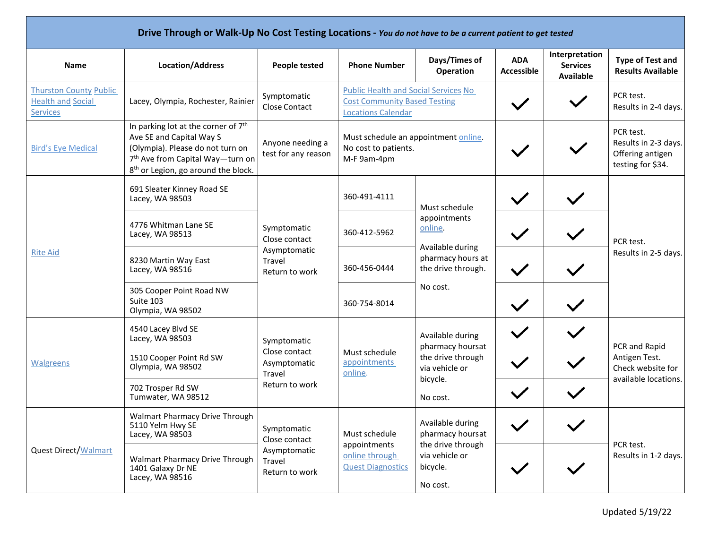| Drive Through or Walk-Up No Cost Testing Locations - You do not have to be a current patient to get tested |                                                                                                                                                                                                                    |                                                                                 |                                                                                                                 |                                                                                                                     |                                 |                                                       |                                                                             |  |
|------------------------------------------------------------------------------------------------------------|--------------------------------------------------------------------------------------------------------------------------------------------------------------------------------------------------------------------|---------------------------------------------------------------------------------|-----------------------------------------------------------------------------------------------------------------|---------------------------------------------------------------------------------------------------------------------|---------------------------------|-------------------------------------------------------|-----------------------------------------------------------------------------|--|
| <b>Name</b>                                                                                                | <b>Location/Address</b>                                                                                                                                                                                            | <b>People tested</b>                                                            | <b>Phone Number</b>                                                                                             | Days/Times of<br>Operation                                                                                          | <b>ADA</b><br><b>Accessible</b> | Interpretation<br><b>Services</b><br><b>Available</b> | <b>Type of Test and</b><br><b>Results Available</b>                         |  |
| <b>Thurston County Public</b><br><b>Health and Social</b><br><b>Services</b>                               | Lacey, Olympia, Rochester, Rainier                                                                                                                                                                                 | Symptomatic<br>Close Contact                                                    | <b>Public Health and Social Services No</b><br><b>Cost Community Based Testing</b><br><b>Locations Calendar</b> |                                                                                                                     |                                 |                                                       | PCR test.<br>Results in 2-4 days.                                           |  |
| <b>Bird's Eye Medical</b>                                                                                  | In parking lot at the corner of 7 <sup>th</sup><br>Ave SE and Capital Way S<br>(Olympia). Please do not turn on<br>7 <sup>th</sup> Ave from Capital Way-turn on<br>8 <sup>th</sup> or Legion, go around the block. | Anyone needing a<br>test for any reason                                         | Must schedule an appointment online.<br>No cost to patients.<br>M-F 9am-4pm                                     |                                                                                                                     |                                 |                                                       | PCR test.<br>Results in 2-3 days.<br>Offering antigen<br>testing for \$34.  |  |
| <b>Rite Aid</b>                                                                                            | 691 Sleater Kinney Road SE<br>Lacey, WA 98503                                                                                                                                                                      | Symptomatic<br>Close contact<br>Asymptomatic<br><b>Travel</b><br>Return to work | 360-491-4111                                                                                                    | Must schedule<br>appointments<br>online.<br>Available during<br>pharmacy hours at<br>the drive through.<br>No cost. | $\checkmark$                    |                                                       | PCR test.<br>Results in 2-5 days.                                           |  |
|                                                                                                            | 4776 Whitman Lane SE<br>Lacey, WA 98513                                                                                                                                                                            |                                                                                 | 360-412-5962                                                                                                    |                                                                                                                     |                                 |                                                       |                                                                             |  |
|                                                                                                            | 8230 Martin Way East<br>Lacey, WA 98516                                                                                                                                                                            |                                                                                 | 360-456-0444                                                                                                    |                                                                                                                     | $\checkmark$                    |                                                       |                                                                             |  |
|                                                                                                            | 305 Cooper Point Road NW<br>Suite 103<br>Olympia, WA 98502                                                                                                                                                         |                                                                                 | 360-754-8014                                                                                                    |                                                                                                                     |                                 |                                                       |                                                                             |  |
| Walgreens                                                                                                  | 4540 Lacey Blvd SE<br>Lacey, WA 98503                                                                                                                                                                              | Symptomatic<br>Close contact<br>Asymptomatic<br>Travel<br>Return to work        | Must schedule<br>appointments<br>online.                                                                        | Available during<br>pharmacy hoursat<br>the drive through<br>via vehicle or<br>bicycle.<br>No cost.                 |                                 |                                                       | PCR and Rapid<br>Antigen Test.<br>Check website for<br>available locations. |  |
|                                                                                                            | 1510 Cooper Point Rd SW<br>Olympia, WA 98502                                                                                                                                                                       |                                                                                 |                                                                                                                 |                                                                                                                     |                                 |                                                       |                                                                             |  |
|                                                                                                            | 702 Trosper Rd SW<br>Tumwater, WA 98512                                                                                                                                                                            |                                                                                 |                                                                                                                 |                                                                                                                     | $\checkmark$                    |                                                       |                                                                             |  |
| <b>Quest Direct/Walmart</b>                                                                                | Walmart Pharmacy Drive Through<br>5110 Yelm Hwy SE<br>Lacey, WA 98503                                                                                                                                              | Symptomatic<br>Close contact<br>Asymptomatic<br>Travel<br>Return to work        | Must schedule<br>appointments<br>online through<br><b>Quest Diagnostics</b>                                     | Available during<br>pharmacy hoursat<br>the drive through<br>via vehicle or<br>bicycle.<br>No cost.                 | $\checkmark$                    |                                                       | PCR test.<br>Results in 1-2 days.                                           |  |
|                                                                                                            | Walmart Pharmacy Drive Through<br>1401 Galaxy Dr NE<br>Lacey, WA 98516                                                                                                                                             |                                                                                 |                                                                                                                 |                                                                                                                     | $\checkmark$                    |                                                       |                                                                             |  |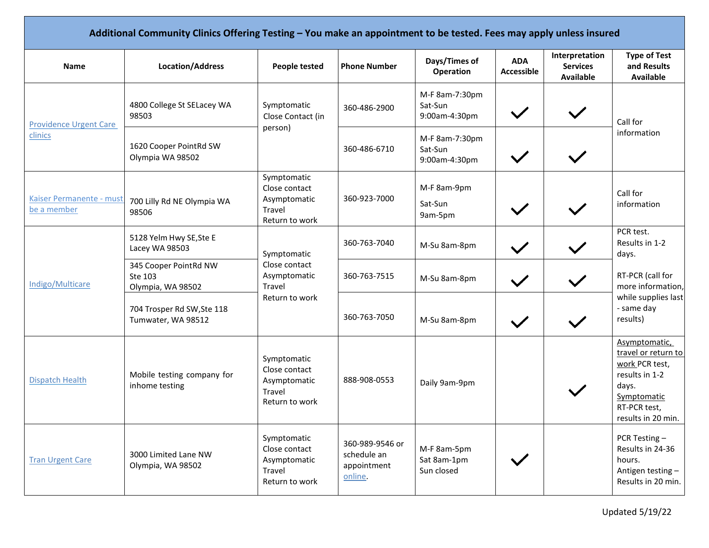| Additional Community Clinics Offering Testing - You make an appointment to be tested. Fees may apply unless insured |                                                       |                                                                                 |                                                          |                                            |                                 |                                                       |                                                                                                                                        |  |
|---------------------------------------------------------------------------------------------------------------------|-------------------------------------------------------|---------------------------------------------------------------------------------|----------------------------------------------------------|--------------------------------------------|---------------------------------|-------------------------------------------------------|----------------------------------------------------------------------------------------------------------------------------------------|--|
| <b>Name</b>                                                                                                         | <b>Location/Address</b>                               | <b>People tested</b>                                                            | <b>Phone Number</b>                                      | Days/Times of<br>Operation                 | <b>ADA</b><br><b>Accessible</b> | Interpretation<br><b>Services</b><br><b>Available</b> | <b>Type of Test</b><br>and Results<br><b>Available</b>                                                                                 |  |
| <b>Providence Urgent Care</b><br>clinics                                                                            | 4800 College St SELacey WA<br>98503                   | Symptomatic<br>Close Contact (in<br>person)                                     | 360-486-2900                                             | M-F 8am-7:30pm<br>Sat-Sun<br>9:00am-4:30pm | $\checkmark$                    |                                                       | Call for<br>information                                                                                                                |  |
|                                                                                                                     | 1620 Cooper PointRd SW<br>Olympia WA 98502            |                                                                                 | 360-486-6710                                             | M-F 8am-7:30pm<br>Sat-Sun<br>9:00am-4:30pm |                                 |                                                       |                                                                                                                                        |  |
| Kaiser Permanente - must<br>be a member                                                                             | 700 Lilly Rd NE Olympia WA<br>98506                   | Symptomatic<br>Close contact<br>Asymptomatic<br><b>Travel</b><br>Return to work | 360-923-7000                                             | M-F 8am-9pm<br>Sat-Sun<br>9am-5pm          |                                 |                                                       | Call for<br>information                                                                                                                |  |
| Indigo/Multicare                                                                                                    | 5128 Yelm Hwy SE, Ste E<br>Lacey WA 98503             | Symptomatic<br>Close contact<br>Asymptomatic<br>Travel<br>Return to work        | 360-763-7040                                             | M-Su 8am-8pm                               |                                 |                                                       | PCR test.<br>Results in 1-2<br>days.                                                                                                   |  |
|                                                                                                                     | 345 Cooper PointRd NW<br>Ste 103<br>Olympia, WA 98502 |                                                                                 | 360-763-7515                                             | M-Su 8am-8pm                               | $\checkmark$                    |                                                       | RT-PCR (call for<br>more information,<br>while supplies last<br>- same day<br>results)                                                 |  |
|                                                                                                                     | 704 Trosper Rd SW, Ste 118<br>Tumwater, WA 98512      |                                                                                 | 360-763-7050                                             | M-Su 8am-8pm                               | $\checkmark$                    |                                                       |                                                                                                                                        |  |
| <b>Dispatch Health</b>                                                                                              | Mobile testing company for<br>inhome testing          | Symptomatic<br>Close contact<br>Asymptomatic<br>Travel<br>Return to work        | 888-908-0553                                             | Daily 9am-9pm                              |                                 |                                                       | Asymptomatic,<br>travel or return to<br>work PCR test,<br>results in 1-2<br>days.<br>Symptomatic<br>RT-PCR test,<br>results in 20 min. |  |
| <b>Tran Urgent Care</b>                                                                                             | 3000 Limited Lane NW<br>Olympia, WA 98502             | Symptomatic<br>Close contact<br>Asymptomatic<br>Travel<br>Return to work        | 360-989-9546 or<br>schedule an<br>appointment<br>online. | M-F 8am-5pm<br>Sat 8am-1pm<br>Sun closed   |                                 |                                                       | PCR Testing-<br>Results in 24-36<br>hours.<br>Antigen testing-<br>Results in 20 min.                                                   |  |